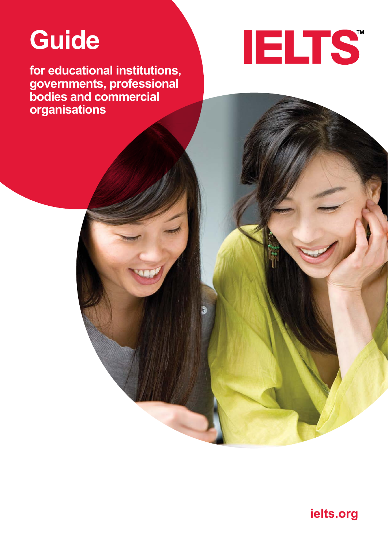# **Guide**

**for educational institutions, governments, professional bodies and commercial organisations**



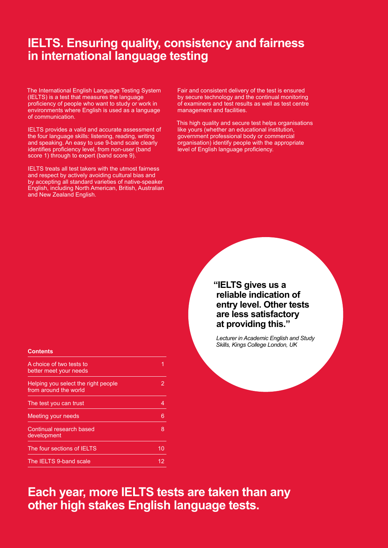## **IELTS. Ensuring quality, consistency and fairness in international language testing**

The International English Language Testing System (IELTS) is a test that measures the language proficiency of people who want to study or work in environments where English is used as a language of communication.

IELTS provides a valid and accurate assessment of the four language skills: listening, reading, writing and speaking. An easy to use 9-band scale clearly identifies proficiency level, from non-user (band score 1) through to expert (band score 9).

IELTS treats all test takers with the utmost fairness and respect by actively avoiding cultural bias and by accepting all standard varieties of native-speaker English, including North American, British, Australian and New Zealand English.

Fair and consistent delivery of the test is ensured by secure technology and the continual monitoring of examiners and test results as well as test centre management and facilities.

This high quality and secure test helps organisations like yours (whether an educational institution, government professional body or commercial organisation) identify people with the appropriate level of English language proficiency.

> **"IELTS gives us a reliable indication of entry level. Other tests are less satisfactory at providing this."**

*Lecturer in Academic English and Study Skills, Kings College London, UK* 

## **Contents**

| A choice of two tests to<br>better meet your needs           |   |
|--------------------------------------------------------------|---|
| Helping you select the right people<br>from around the world |   |
| The test you can trust                                       |   |
| Meeting your needs                                           | 6 |
| Continual research based<br>development                      | 8 |
| The four sections of IELTS                                   |   |
| The IELTS 9-band scale                                       |   |

**Each year, more IELTS tests are taken than any other high stakes English language tests.**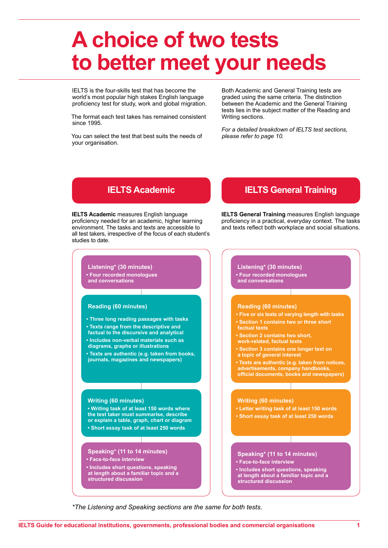## **A choice of two tests to better meet your needs**

IELTS is the four-skills test that has become the world's most popular high stakes English language proficiency test for study, work and global migration.

The format each test takes has remained consistent since 1995.

You can select the test that best suits the needs of your organisation.

Both Academic and General Training tests are graded using the same criteria. The distinction between the Academic and the General Training tests lies in the subject matter of the Reading and Writing sections.

*For a detailed breakdown of IELTS test sections, please refer to page 10.*

**IELTS Academic** measures English language proficiency needed for an academic, higher learning environment. The tasks and texts are accessible to all test takers, irrespective of the focus of each student's studies to date.



#### **Reading (60 minutes)**

- **Three long reading passages with tasks**
- **Texts range from the descriptive and**
- **factual to the discursive and analytical**
- **Includes non-verbal materials such as**
- **diagrams, graphs or illustrations**

**• Texts are authentic (e.g. taken from books, journals, magazines and newspapers)**

#### **Writing (60 minutes)**

**• Writing task of at least 150 words where the test taker must summarise, describe or explain a table, graph, chart or diagram • Short essay task of at least 250 words**

### **Speaking\* (11 to 14 minutes)**

- **Face-to-face interview**
- **Includes short questions, speaking at length about a familiar topic and a structured discussion**

## **IELTS Academic IELTS General Training**

**IELTS General Training** measures English language proficiency in a practical, everyday context. The tasks and texts reflect both workplace and social situations.



**• Includes short questions, speaking at length about a familiar topic and a structured discussion**

*\*The Listening and Speaking sections are the same for both tests.*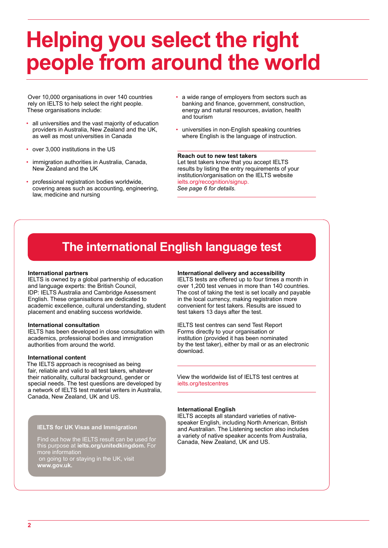## **Helping you select the right people from around the world**

Over 10,000 organisations in over 140 countries rely on IELTS to help select the right people. These organisations include:

- all universities and the vast majority of education providers in Australia, New Zealand and the UK, as well as most universities in Canada
- over 3,000 institutions in the US
- immigration authorities in Australia, Canada, New Zealand and the UK
- professional registration bodies worldwide, covering areas such as accounting, engineering, law, medicine and nursing
- a wide range of employers from sectors such as banking and finance, government, construction, energy and natural resources, aviation, health and tourism
- universities in non-English speaking countries where English is the language of instruction.

#### **Reach out to new test takers**

Let test takers know that you accept IELTS results by listing the entry requirements of your institution/organisation on the IELTS website ielts.org/recognition/signup. *See page 6 for details.*

## **The international English language test**

#### **International partners**

IELTS is owned by a global partnership of education and language experts: the British Council, IDP: IELTS Australia and Cambridge Assessment English. These organisations are dedicated to academic excellence, cultural understanding, student placement and enabling success worldwide.

#### **International consultation**

IELTS has been developed in close consultation with academics, professional bodies and immigration authorities from around the world.

#### **International content**

The IELTS approach is recognised as being fair, reliable and valid to all test takers, whatever their nationality, cultural background, gender or special needs. The test questions are developed by a network of IELTS test material writers in Australia, Canada, New Zealand, UK and US.

#### **IELTS for UK Visas and Immigration**

Find out how the IELTS result can be used for this purpose at **ielts.org/unitedkingdom.** For more information on going to or staying in the UK, visit **www.gov.uk.**

#### **International delivery and accessibility**

IELTS tests are offered up to four times a month in over 1,200 test venues in more than 140 countries. The cost of taking the test is set locally and payable in the local currency, making registration more convenient for test takers. Results are issued to test takers 13 days after the test.

IELTS test centres can send Test Report Forms directly to your organisation or institution (provided it has been nominated by the test taker), either by mail or as an electronic download.

View the worldwide list of IELTS test centres at ielts.org/testcentres

#### **International English**

IELTS accepts all standard varieties of nativespeaker English, including North American, British and Australian. The Listening section also includes a variety of native speaker accents from Australia, Canada, New Zealand, UK and US.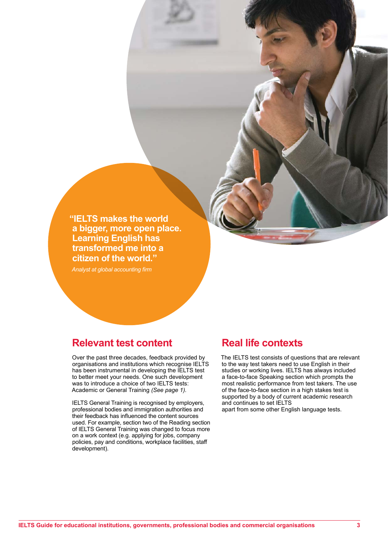**"IELTS makes the world a bigger, more open place. Learning English has transformed me into a citizen of the world."**

*Analyst at global accounting firm*

## **Relevant test content**

Over the past three decades, feedback provided by organisations and institutions which recognise IELTS has been instrumental in developing the IELTS test to better meet your needs. One such development was to introduce a choice of two IELTS tests: Academic or General Training *(See page 1).*

IELTS General Training is recognised by employers, professional bodies and immigration authorities and their feedback has influenced the content sources used. For example, section two of the Reading section of IELTS General Training was changed to focus more on a work context (e.g. applying for jobs, company policies, pay and conditions, workplace facilities, staff development).

## **Real life contexts**

The IELTS test consists of questions that are relevant to the way test takers need to use English in their studies or working lives. IELTS has always included a face-to-face Speaking section which prompts the most realistic performance from test takers. The use of the face-to-face section in a high stakes test is supported by a body of current academic research and continues to set IELTS apart from some other English language tests.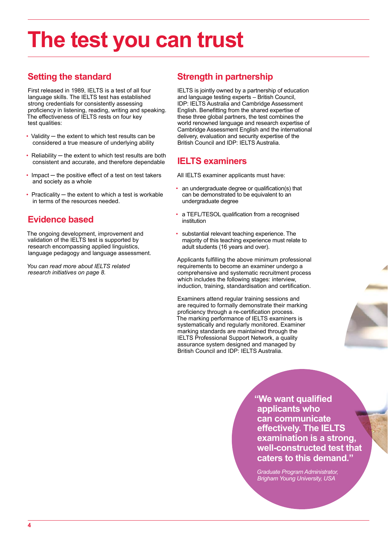# **The test you can trust**

## **Setting the standard**

First released in 1989, IELTS is a test of all four language skills. The IELTS test has established strong credentials for consistently assessing proficiency in listening, reading, writing and speaking. The effectiveness of IELTS rests on four key test qualities:

- Validity the extent to which test results can be considered a true measure of underlying ability
- Reliability the extent to which test results are both consistent and accurate, and therefore dependable
- Impact the positive effect of a test on test takers and society as a whole
- Practicality the extent to which a test is workable in terms of the resources needed.

## **Evidence based**

The ongoing development, improvement and validation of the IELTS test is supported by research encompassing applied linguistics, language pedagogy and language assessment.

*You can read more about IELTS related research initiatives on page 8.*

## **Strength in partnership**

IELTS is jointly owned by a partnership of education and language testing experts – British Council, IDP: IELTS Australia and Cambridge Assessment English. Benefitting from the shared expertise of these three global partners, the test combines the world renowned language and research expertise of Cambridge Assessment English and the international delivery, evaluation and security expertise of the British Council and IDP: IELTS Australia.

## **IELTS examiners**

All IELTS examiner applicants must have:

- an undergraduate degree or qualification(s) that can be demonstrated to be equivalent to an undergraduate degree
- a TEFL/TESOL qualification from a recognised institution
- substantial relevant teaching experience. The majority of this teaching experience must relate to adult students (16 years and over).

Applicants fulfilling the above minimum professional requirements to become an examiner undergo a comprehensive and systematic recruitment process which includes the following stages: interview, induction, training, standardisation and certification.

Examiners attend regular training sessions and are required to formally demonstrate their marking proficiency through a re-certification process. The marking performance of IELTS examiners is systematically and regularly monitored. Examiner marking standards are maintained through the IELTS Professional Support Network, a quality assurance system designed and managed by British Council and IDP: IELTS Australia.

> **"We want qualified applicants who can communicate effectively. The IELTS examination is a strong, well-constructed test that caters to this demand."**

*Graduate Program Administrator, Brigham Young University, USA*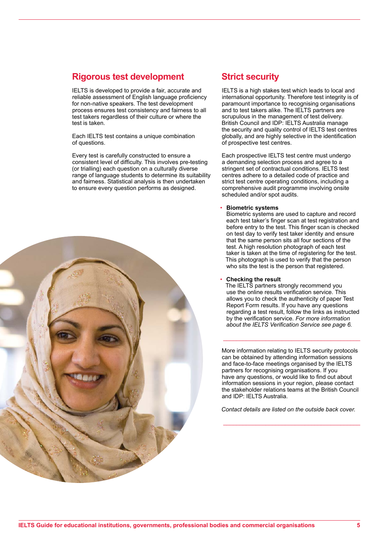## **Rigorous test development**

IELTS is developed to provide a fair, accurate and reliable assessment of English language proficiency for non-native speakers. The test development process ensures test consistency and fairness to all test takers regardless of their culture or where the test is taken.

Each IELTS test contains a unique combination of questions.

Every test is carefully constructed to ensure a consistent level of difficulty. This involves pre-testing (or trialling) each question on a culturally diverse range of language students to determine its suitability and fairness. Statistical analysis is then undertaken to ensure every question performs as designed.



## **Strict security**

IELTS is a high stakes test which leads to local and international opportunity. Therefore test integrity is of paramount importance to recognising organisations and to test takers alike. The IELTS partners are scrupulous in the management of test delivery. British Council and IDP: IELTS Australia manage the security and quality control of IELTS test centres globally, and are highly selective in the identification of prospective test centres.

Each prospective IELTS test centre must undergo a demanding selection process and agree to a stringent set of contractual conditions. IELTS test centres adhere to a detailed code of practice and strict test centre operating conditions, including a comprehensive audit programme involving onsite scheduled and/or spot audits.

#### • **Biometric systems**

Biometric systems are used to capture and record each test taker's finger scan at test registration and before entry to the test. This finger scan is checked on test day to verify test taker identity and ensure that the same person sits all four sections of the test. A high resolution photograph of each test taker is taken at the time of registering for the test. This photograph is used to verify that the person who sits the test is the person that registered.

#### • **Checking the result**

The IELTS partners strongly recommend you use the online results verification service. This allows you to check the authenticity of paper Test Report Form results. If you have any questions regarding a test result, follow the links as instructed by the verification service. *For more information about the IELTS Verification Service see page 6.*

More information relating to IELTS security protocols can be obtained by attending information sessions and face-to-face meetings organised by the IELTS partners for recognising organisations. If you have any questions, or would like to find out about information sessions in your region, please contact the stakeholder relations teams at the British Council and IDP: IFI TS Australia.

\_\_\_\_\_\_\_\_\_\_\_\_\_\_\_\_\_\_\_\_\_\_\_\_\_\_\_\_\_\_\_\_\_\_\_\_\_\_\_\_\_\_

*Contact details are listed on the outside back cover.*

\_\_\_\_\_\_\_\_\_\_\_\_\_\_\_\_\_\_\_\_\_\_\_\_\_\_\_\_\_\_\_\_\_\_\_\_\_\_\_\_\_\_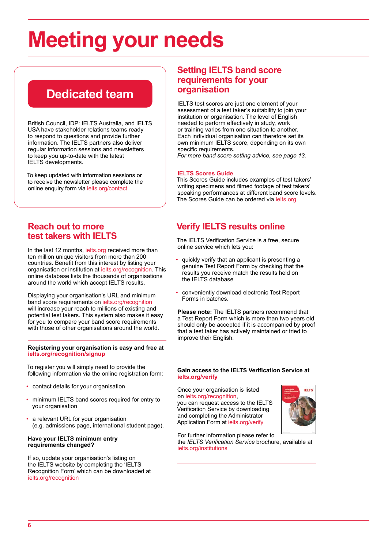# **Meeting your needs**

## **Dedicated team**

British Council, IDP: IELTS Australia, and IELTS USA have stakeholder relations teams ready to respond to questions and provide further information. The IELTS partners also deliver regular information sessions and newsletters to keep you up-to-date with the latest IELTS developments.

To keep updated with information sessions or to receive the newsletter please complete the online enquiry form via ielts.org/contact

## **Reach out to more test takers with IELTS**

In the last 12 months, ielts.org received more than ten million unique visitors from more than 200 countries. Benefit from this interest by listing your organisation or institution at ielts.org/recognition. This online database lists the thousands of organisations around the world which accept IELTS results.

Displaying your organisation's URL and minimum band score requirements on ielts.org/recognition will increase your reach to millions of existing and potential test takers. This system also makes it easy for you to compare your band score requirements with those of other organisations around the world.

#### **Registering your organisation is easy and free at ielts.org/recognition/signup**

To register you will simply need to provide the following information via the online registration form:

- contact details for your organisation
- minimum IELTS band scores required for entry to your organisation
- a relevant URL for your organisation (e.g. admissions page, international student page).

### **Have your IELTS minimum entry requirements changed?**

If so, update your organisation's listing on the IELTS website by completing the 'IELTS Recognition Form' which can be downloaded at ielts.org/recognition

## **Setting IELTS band score requirements for your organisation**

IELTS test scores are just one element of your assessment of a test taker's suitability to join your institution or organisation. The level of English needed to perform effectively in study, work or training varies from one situation to another. Each individual organisation can therefore set its own minimum IELTS score, depending on its own specific requirements.

*For more band score setting advice, see page 13.*

## **IELTS Scores Guide**

This Scores Guide includes examples of test takers' writing specimens and filmed footage of test takers' speaking performances at different band score levels. The Scores Guide can be ordered via ielts.org

## **Verify IELTS results online**

The IELTS Verification Service is a free, secure online service which lets you:

- quickly verify that an applicant is presenting a genuine Test Report Form by checking that the results you receive match the results held on the IELTS database
- conveniently download electronic Test Report Forms in batches.

**Please note:** The IELTS partners recommend that a Test Report Form which is more than two years old should only be accepted if it is accompanied by proof that a test taker has actively maintained or tried to improve their English.

#### **Gain access to the IELTS Verification Service at ielts.org/verify**

Once your organisation is listed on ielts.org/recognition, you can request access to the IELTS Verification Service by downloading and completing the Administrator Application Form at ielts.org/verify



For further information please refer to the *IELTS Verification Service* brochure, available at ielts.org/institutions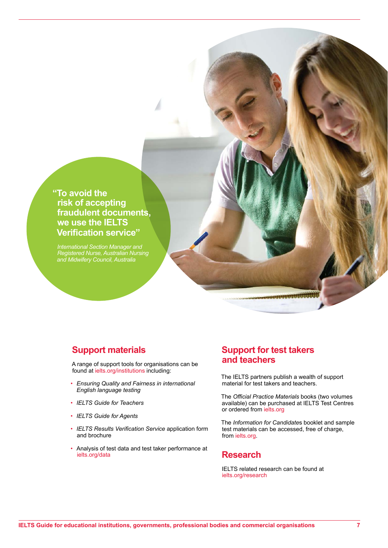**"To avoid the risk of accepting fraudulent documents, we use the IELTS Verification service"**

*International Section Manager and Registered Nurse, Australian Nursing and Midwifery Council, Australia*

## **Support materials**

A range of support tools for organisations can be found at ielts.org/institutions including:

- *Ensuring Quality and Fairness in international English language testing*
- *• IELTS Guide for Teachers*
- *• IELTS Guide for Agents*
- *IELTS Results Verification Service* application form and brochure
- Analysis of test data and test taker performance at ielts.org/data

## **Support for test takers and teachers**

The IELTS partners publish a wealth of support material for test takers and teachers.

The *Official Practice Materials* books (two volumes available) can be purchased at IELTS Test Centres or ordered from ielts.org

The *Information for Candidate*s booklet and sample test materials can be accessed, free of charge, from ielts.org.

## **Research**

IELTS related research can be found at ielts.org/research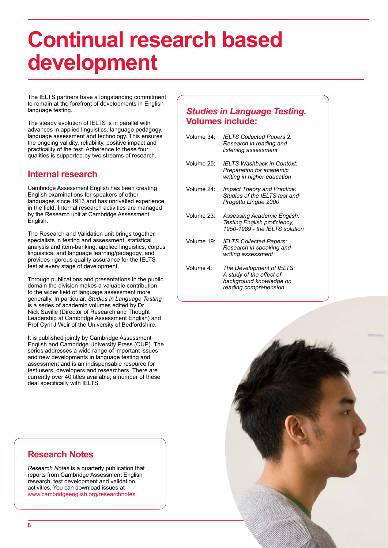## **Continual research based development**

The IELTS partners have a longstanding commitment to remain at the forefront of developments in English language testing.

The steady evolution of IELTS is in parallel with advances in applied linguistics, language pedagogy, language assessment and technology. This ensures the ongoing validity, reliability, positive impact and practicality of the test. Adherence to these four qualities is supported by two streams of research.

## **Internal research**

Cambridge Assessment English has been creating English examinations for speakers of other languages since 1913 and has unrivalled experience in the field. Internal research activities are managed by the Research unit at Cambridge Assessment English.

The Research and Validation unit brings together specialists in testing and assessment, statistical analysis and item‑banking, applied linguistics, corpus linguistics, and language learning/pedagogy, and provides rigorous quality assurance for the IELTS test at every stage of development.

Through publications and presentations in the public domain the division makes a valuable contribution to the wider field of language assessment more generally. In particular, *Studies in Language Testing* is a series of academic volumes edited by Dr Nick Saville (Director of Research and Thought Leadership at Cambridge Assessment English) and Prof Cyril J Weir of the University of Bedfordshire.

It is published jointly by Cambridge Assessment English and Cambridge University Press (CUP). The series addresses a wide range of important issues and new developments in language testing and assessment and is an indispensable resource for test users, developers and researchers. There are currently over 40 titles available; a number of these deal specifically with IELTS.

## *Studies in Language Testing.*  **Volumes include:**

| Volume 34: | <b>IELTS Collected Papers 2:</b><br>Research in reading and<br>listening assessment           |
|------------|-----------------------------------------------------------------------------------------------|
| Volume 25: | IELTS Washback in Context:<br>Preparation for academic<br>writing in higher education         |
| Volume 24: | Impact Theory and Practice:<br>Studies of the IELTS test and<br>Progetto Lingue 2000          |
| Volume 23: | Assessing Academic English:<br>Testing English proficiency,<br>1950-1989 - the IELTS solution |
| Volume 19: | <b>IELTS Collected Papers:</b><br>Research in speaking and<br>writing assessment              |
| Volume 4:  | The Development of IELTS:<br>$\overline{a}$ , and the second contract of $\overline{a}$       |





## **Research Notes**

*Research Notes* is a quarterly publication that reports from Cambridge Assessment English research, test development and validation activities. You can download issues at www.cambridgeenglish.org/researchnotes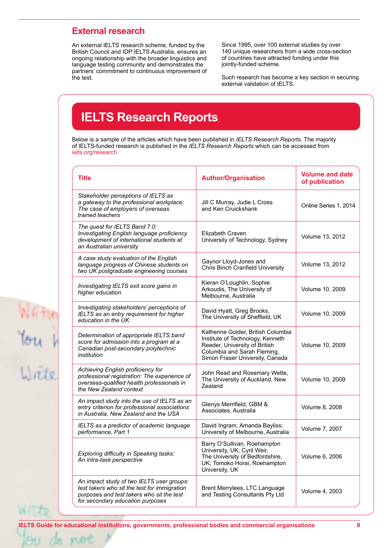## **External research**

An external IELTS research scheme, funded by the British Council and IDP:IELTS Australia, ensures an ongoing relationship with the broader linguistics and language testing community and demonstrates the partners' commitment to continuous improvement of the test.

Since 1995, over 100 external studies by over 140 unique researchers from a wide cross-section of countries have attracted funding under this jointly-funded scheme.

Such research has become a key section in securing external validation of IELTS.

## **IELTS Research Reports**

Below is a sample of the articles which have been published in *IELTS Research Reports*. The majority of IELTS-funded research is published in the *IELTS Research Reports* which can be accessed from ielts.org/research

| <b>Title</b>                                                                                                                                                               | <b>Author/Organisation</b>                                                                                                                                                | <b>Volume and date</b><br>of publication |
|----------------------------------------------------------------------------------------------------------------------------------------------------------------------------|---------------------------------------------------------------------------------------------------------------------------------------------------------------------------|------------------------------------------|
| Stakeholder perceptions of IELTS as<br>a gateway to the professional workplace:<br>The case of employers of overseas<br>trained teachers                                   | Jill C Murray, Judie L Cross<br>and Ken Cruickshank                                                                                                                       | Online Series 1, 2014                    |
| The quest for IELTS Band 7.0:<br>Investigating English language proficiency<br>development of international students at<br>an Australian university                        | Elizabeth Craven<br>University of Technology, Sydney                                                                                                                      | Volume 13, 2012                          |
| A case study evaluation of the English<br>language progress of Chinese students on<br>two UK postgraduate engineering courses                                              | Gaynor Lloyd-Jones and<br>Chris Binch Cranfield University                                                                                                                | Volume 13, 2012                          |
| Investigating IELTS exit score gains in<br>higher education                                                                                                                | Kieran O'Loughlin, Sophie<br>Arkoudis, The University of<br>Melbourne, Australia                                                                                          | Volume 10, 2009                          |
| Investigating stakeholders' perceptions of<br>IELTS as an entry requirement for higher<br>education in the UK                                                              | David Hyatt, Greg Brooks,<br>The University of Sheffield, UK                                                                                                              | Volume 10, 2009                          |
| Determination of appropriate IELTS band<br>score for admission into a program at a<br>Canadian post-secondary polytechnic<br>institution                                   | Katherine Golder, British Columbia<br>Institute of Technology, Kenneth<br>Reeder, University of British<br>Columbia and Sarah Fleming,<br>Simon Fraser University, Canada | Volume 10, 2009                          |
| Achieving English proficiency for<br>professional registration: The experience of<br>overseas-qualified health professionals in<br>the New Zealand context                 | John Read and Rosemary Wette,<br>The University of Auckland, New<br>Zealand                                                                                               | Volume 10, 2009                          |
| An impact study into the use of IELTS as an<br>entry criterion for professional associations<br>in Australia, New Zealand and the USA                                      | Glenys Merrifield, GBM &<br>Associates, Australia                                                                                                                         | Volume 8, 2008                           |
| IELTS as a predictor of academic language<br>performance, Part 1                                                                                                           | David Ingram, Amanda Bayliss;<br>University of Melbourne, Australia                                                                                                       | Volume 7, 2007                           |
| Exploring difficulty in Speaking tasks:<br>An intra-task perspective                                                                                                       | Barry O'Sullivan, Roehampton<br>University, UK; Cyril Weir,<br>The University of Bedfordshire,<br>UK; Tomoko Horai, Roehampton<br>University, UK                          | Volume 6, 2006                           |
| An impact study of two IELTS user groups:<br>test takers who sit the test for immigration<br>purposes and test takers who sit the test<br>for secondary education purposes | Brent Merrylees, LTC Language<br>and Testing Consultants Pty Ltd                                                                                                          | Volume 4, 2003                           |

WB

**IELTS Guide for educational institutions, governments, professional bodies and commercial organisations 9**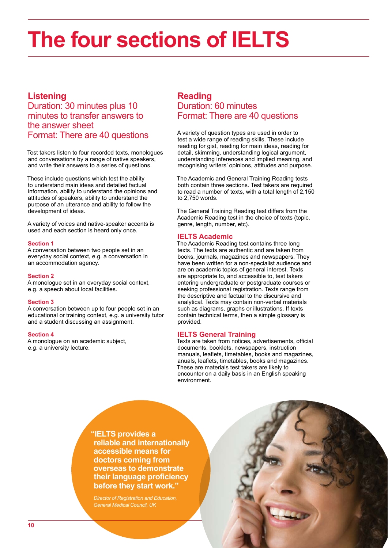# **The four sections of IELTS**

## **Listening**

## Duration: 30 minutes plus 10 minutes to transfer answers to the answer sheet Format: There are 40 questions

Test takers listen to four recorded texts, monologues and conversations by a range of native speakers, and write their answers to a series of questions.

These include questions which test the ability to understand main ideas and detailed factual information, ability to understand the opinions and attitudes of speakers, ability to understand the purpose of an utterance and ability to follow the development of ideas.

A variety of voices and native-speaker accents is used and each section is heard only once.

### **Section 1**

A conversation between two people set in an everyday social context, e.g. a conversation in an accommodation agency.

#### **Section 2**

A monologue set in an everyday social context, e.g. a speech about local facilities.

#### **Section 3**

A conversation between up to four people set in an educational or training context, e.g. a university tutor and a student discussing an assignment.

#### **Section 4**

A monologue on an academic subject, e.g. a university lecture.

## **Reading**  Duration: 60 minutes Format: There are 40 questions

A variety of question types are used in order to test a wide range of reading skills. These include reading for gist, reading for main ideas, reading for detail, skimming, understanding logical argument, understanding inferences and implied meaning, and recognising writers' opinions, attitudes and purpose.

The Academic and General Training Reading tests both contain three sections. Test takers are required to read a number of texts, with a total length of 2,150 to 2,750 words.

The General Training Reading test differs from the Academic Reading test in the choice of texts (topic, genre, length, number, etc).

### **IELTS Academic**

The Academic Reading test contains three long texts. The texts are authentic and are taken from books, journals, magazines and newspapers. They have been written for a non-specialist audience and are on academic topics of general interest. Texts are appropriate to, and accessible to, test takers entering undergraduate or postgraduate courses or seeking professional registration. Texts range from the descriptive and factual to the discursive and analytical. Texts may contain non-verbal materials such as diagrams, graphs or illustrations. If texts contain technical terms, then a simple glossary is provided.

### **IELTS General Training**

Texts are taken from notices, advertisements, official documents, booklets, newspapers, instruction manuals, leaflets, timetables, books and magazines, anuals, leaflets, timetables, books and magazines. These are materials test takers are likely to encounter on a daily basis in an English speaking environment.

**"IELTS provides a reliable and internationally accessible means for doctors coming from overseas to demonstrate their language proficiency before they start work."**

*Director of Registration and Education, General Medical Council, UK*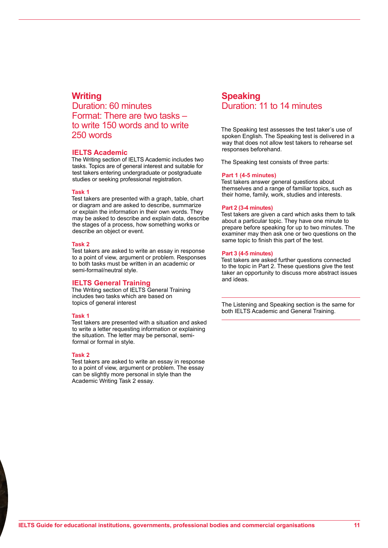## **Writing**

Duration: 60 minutes Format: There are two tasks – to write 150 words and to write 250 words

## **IELTS Academic**

The Writing section of IELTS Academic includes two tasks. Topics are of general interest and suitable for test takers entering undergraduate or postgraduate studies or seeking professional registration.

### **Task 1**

Test takers are presented with a graph, table, chart or diagram and are asked to describe, summarize or explain the information in their own words. They may be asked to describe and explain data, describe the stages of a process, how something works or describe an object or event.

#### **Task 2**

Test takers are asked to write an essay in response to a point of view, argument or problem. Responses to both tasks must be written in an academic or semi-formal/neutral style.

## **IELTS General Training**

The Writing section of IELTS General Training includes two tasks which are based on topics of general interest

#### **Task 1**

Test takers are presented with a situation and asked to write a letter requesting information or explaining the situation. The letter may be personal, semiformal or formal in style.

#### **Task 2**

Test takers are asked to write an essay in response to a point of view, argument or problem. The essay can be slightly more personal in style than the Academic Writing Task 2 essay.

## **Speaking**  Duration: 11 to 14 minutes

The Speaking test assesses the test taker's use of spoken English. The Speaking test is delivered in a way that does not allow test takers to rehearse set responses beforehand.

The Speaking test consists of three parts:

#### **Part 1 (4-5 minutes)**

Test takers answer general questions about themselves and a range of familiar topics, such as their home, family, work, studies and interests.

#### **Part 2 (3-4 minutes)**

Test takers are given a card which asks them to talk about a particular topic. They have one minute to prepare before speaking for up to two minutes. The examiner may then ask one or two questions on the same topic to finish this part of the test.

#### **Part 3 (4-5 minutes)**

Test takers are asked further questions connected to the topic in Part 2. These questions give the test taker an opportunity to discuss more abstract issues and ideas.

The Listening and Speaking section is the same for both IELTS Academic and General Training.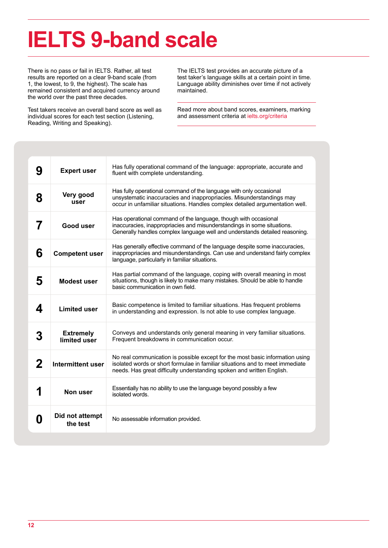# **IELTS 9-band scale**

There is no pass or fail in IELTS. Rather, all test results are reported on a clear 9-band scale (from 1, the lowest, to 9, the highest). The scale has remained consistent and acquired currency around the world over the past three decades.

Test takers receive an overall band score as well as individual scores for each test section (Listening, Reading, Writing and Speaking).

The IELTS test provides an accurate picture of a test taker's language skills at a certain point in time. Language ability diminishes over time if not actively maintained.

Read more about band scores, examiners, marking and assessment criteria at ielts.org/criteria

| 9 | <b>Expert user</b>               | Has fully operational command of the language: appropriate, accurate and<br>fluent with complete understanding.                                                                                                                         |
|---|----------------------------------|-----------------------------------------------------------------------------------------------------------------------------------------------------------------------------------------------------------------------------------------|
| 8 | Very good<br>user                | Has fully operational command of the language with only occasional<br>unsystematic inaccuracies and inappropriacies. Misunderstandings may<br>occur in unfamiliar situations. Handles complex detailed argumentation well.              |
| 7 | Good user                        | Has operational command of the language, though with occasional<br>inaccuracies, inappropriacies and misunderstandings in some situations.<br>Generally handles complex language well and understands detailed reasoning.               |
| 6 | <b>Competent user</b>            | Has generally effective command of the language despite some inaccuracies,<br>inappropriacies and misunderstandings. Can use and understand fairly complex<br>language, particularly in familiar situations.                            |
| 5 | <b>Modest user</b>               | Has partial command of the language, coping with overall meaning in most<br>situations, though is likely to make many mistakes. Should be able to handle<br>basic communication in own field.                                           |
| 4 | <b>Limited user</b>              | Basic competence is limited to familiar situations. Has frequent problems<br>in understanding and expression. Is not able to use complex language.                                                                                      |
| 3 | <b>Extremely</b><br>limited user | Conveys and understands only general meaning in very familiar situations.<br>Frequent breakdowns in communication occur.                                                                                                                |
| 2 | Intermittent user                | No real communication is possible except for the most basic information using<br>isolated words or short formulae in familiar situations and to meet immediate<br>needs. Has great difficulty understanding spoken and written English. |
|   | Non user                         | Essentially has no ability to use the language beyond possibly a few<br>isolated words.                                                                                                                                                 |
| 0 | Did not attempt<br>the test      | No assessable information provided.                                                                                                                                                                                                     |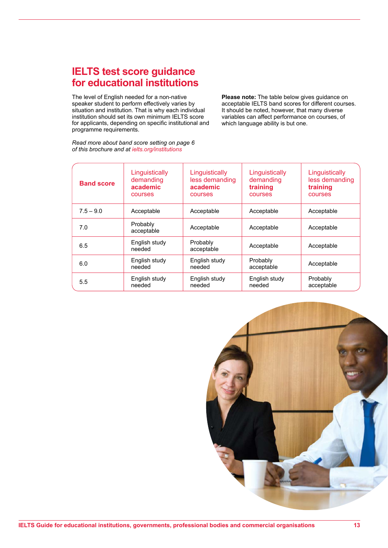## **IELTS test score guidance for educational institutions**

The level of English needed for a non-native speaker student to perform effectively varies by situation and institution. That is why each individual institution should set its own minimum IELTS score for applicants, depending on specific institutional and programme requirements.

*Read more about band score setting on page 6 of this brochure and at ielts.org/institutions*

**Please note:** The table below gives guidance on acceptable IELTS band scores for different courses. It should be noted, however, that many diverse variables can affect performance on courses, of which language ability is but one.

| <b>Band score</b> | Linguistically<br>demanding<br>academic<br><b>courses</b> | Linguistically<br>less demanding<br>academic<br><b>courses</b> | Linguistically<br>demanding<br>training<br>courses | Linguistically<br>less demanding<br>training<br>courses |
|-------------------|-----------------------------------------------------------|----------------------------------------------------------------|----------------------------------------------------|---------------------------------------------------------|
| $7.5 - 9.0$       | Acceptable                                                | Acceptable                                                     | Acceptable                                         | Acceptable                                              |
| 7.0               | Probably<br>acceptable                                    | Acceptable                                                     | Acceptable                                         | Acceptable                                              |
| 6.5               | English study<br>needed                                   | Probably<br>acceptable                                         | Acceptable                                         | Acceptable                                              |
| 6.0               | English study<br>needed                                   | English study<br>needed                                        | Probably<br>acceptable                             | Acceptable                                              |
| 5.5               | English study<br>needed                                   | English study<br>needed                                        | English study<br>needed                            | Probably<br>acceptable                                  |